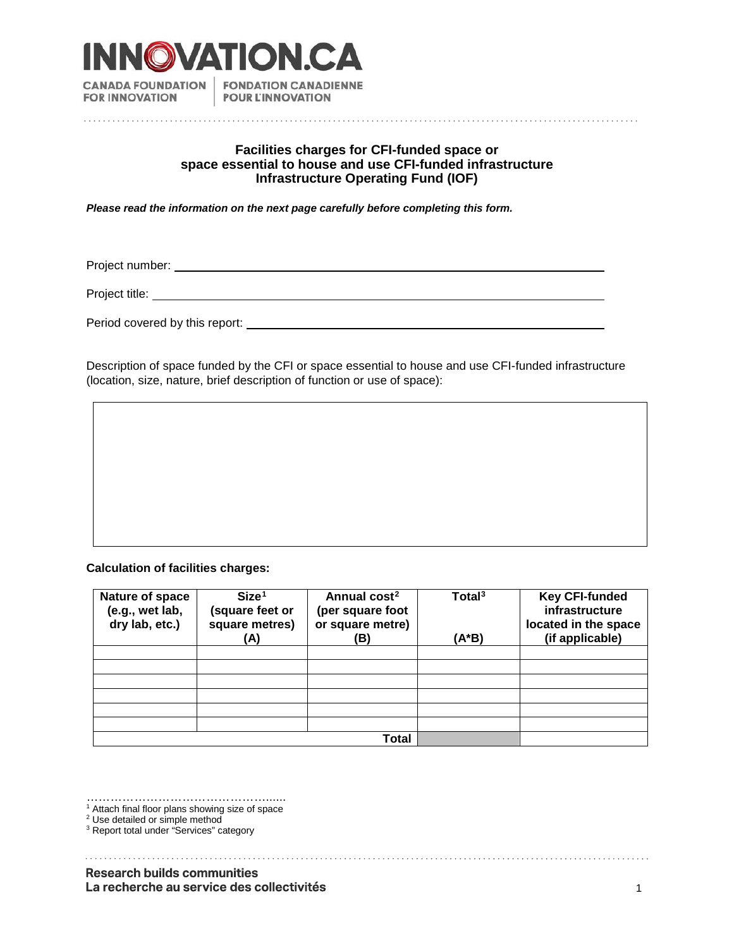

# **Facilities charges for CFI-funded space or space essential to house and use CFI-funded infrastructure Infrastructure Operating Fund (IOF)**

*Please read the information on the next page carefully before completing this form.*

Project number:

Project title:

Period covered by this report:

Description of space funded by the CFI or space essential to house and use CFI-funded infrastructure (location, size, nature, brief description of function or use of space):

#### **Calculation of facilities charges:**

| Nature of space<br>(e.g., wet lab,<br>dry lab, etc.) | Size <sup>1</sup><br>(square feet or<br>square metres)<br>(A) | Annual cost <sup>2</sup><br>(per square foot<br>or square metre)<br>(B) | Total $3$<br>(A*B) | <b>Key CFI-funded</b><br>infrastructure<br>located in the space<br>(if applicable) |
|------------------------------------------------------|---------------------------------------------------------------|-------------------------------------------------------------------------|--------------------|------------------------------------------------------------------------------------|
|                                                      |                                                               |                                                                         |                    |                                                                                    |
|                                                      |                                                               |                                                                         |                    |                                                                                    |
|                                                      |                                                               |                                                                         |                    |                                                                                    |
|                                                      |                                                               |                                                                         |                    |                                                                                    |
|                                                      |                                                               |                                                                         |                    |                                                                                    |
|                                                      |                                                               |                                                                         |                    |                                                                                    |
|                                                      |                                                               |                                                                         |                    |                                                                                    |

………………………………………...... <sup>1</sup> Attach final floor plans showing size of space

<span id="page-0-1"></span><span id="page-0-0"></span><sup>2</sup> Use detailed or simple method

<span id="page-0-2"></span><sup>3</sup> Report total under "Services" category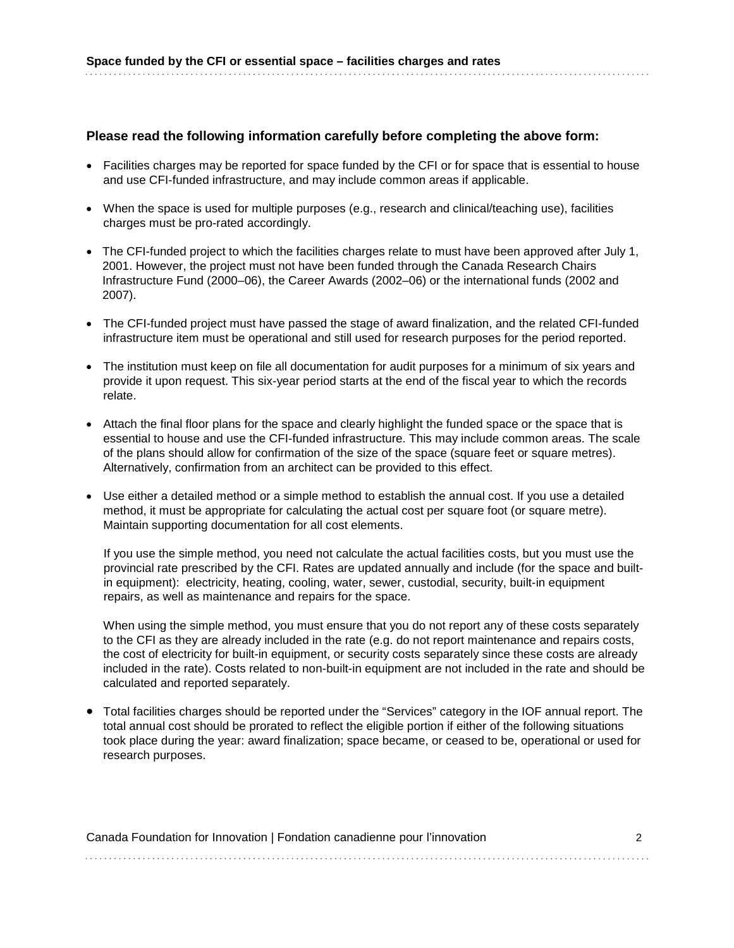## **Please read the following information carefully before completing the above form:**

- Facilities charges may be reported for space funded by the CFI or for space that is essential to house and use CFI-funded infrastructure, and may include common areas if applicable.
- When the space is used for multiple purposes (e.g., research and clinical/teaching use), facilities charges must be pro-rated accordingly.
- The CFI-funded project to which the facilities charges relate to must have been approved after July 1, 2001. However, the project must not have been funded through the Canada Research Chairs Infrastructure Fund (2000–06), the Career Awards (2002–06) or the international funds (2002 and 2007).
- The CFI-funded project must have passed the stage of award finalization, and the related CFI-funded infrastructure item must be operational and still used for research purposes for the period reported.
- The institution must keep on file all documentation for audit purposes for a minimum of six years and provide it upon request. This six-year period starts at the end of the fiscal year to which the records relate.
- Attach the final floor plans for the space and clearly highlight the funded space or the space that is essential to house and use the CFI-funded infrastructure. This may include common areas. The scale of the plans should allow for confirmation of the size of the space (square feet or square metres). Alternatively, confirmation from an architect can be provided to this effect.
- Use either a detailed method or a simple method to establish the annual cost. If you use a detailed method, it must be appropriate for calculating the actual cost per square foot (or square metre). Maintain supporting documentation for all cost elements.

If you use the simple method, you need not calculate the actual facilities costs, but you must use the provincial rate prescribed by the CFI. Rates are updated annually and include (for the space and builtin equipment): electricity, heating, cooling, water, sewer, custodial, security, built-in equipment repairs, as well as maintenance and repairs for the space.

When using the simple method, you must ensure that you do not report any of these costs separately to the CFI as they are already included in the rate (e.g. do not report maintenance and repairs costs, the cost of electricity for built-in equipment, or security costs separately since these costs are already included in the rate). Costs related to non-built-in equipment are not included in the rate and should be calculated and reported separately.

• Total facilities charges should be reported under the "Services" category in the IOF annual report. The total annual cost should be prorated to reflect the eligible portion if either of the following situations took place during the year: award finalization; space became, or ceased to be, operational or used for research purposes.

| Canada Foundation for Innovation   Fondation canadienne pour l'innovation |  |
|---------------------------------------------------------------------------|--|
|                                                                           |  |